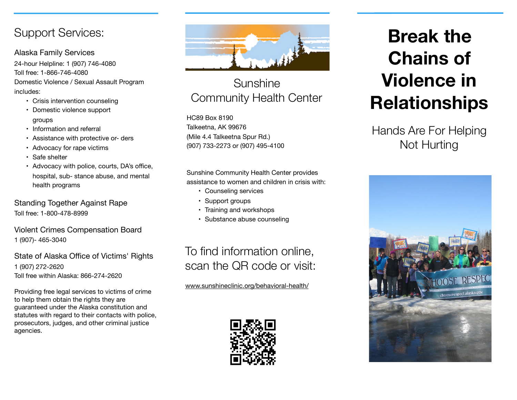### Support Services:

### Alaska Family Services

24-hour Helpline: 1 (907) 746-4080 Toll free: 1-866-746-4080 Domestic Violence / Sexual Assault Program includes:

- Crisis intervention counseling
- Domestic violence support groups
- Information and referral
- Assistance with protective or- ders
- Advocacy for rape victims
- Safe shelter
- Advocacy with police, courts, DA's office, hospital, sub- stance abuse, and mental health programs

Standing Together Against Rape Toll free: 1-800-478-8999

Violent Crimes Compensation Board 1 (907)- 465-3040

### State of Alaska Office of Victims' Rights 1 (907) 272-2620 Toll free within Alaska: 866-274-2620

Providing free legal services to victims of crime to help them obtain the rights they are guaranteed under the Alaska constitution and statutes with regard to their contacts with police, prosecutors, judges, and other criminal justice agencies.



## Sunshine Community Health Center

HC89 Box 8190 Talkeetna, AK 99676 (Mile 4.4 Talkeetna Spur Rd.) (907) 733-2273 or (907) 495-4100

Sunshine Community Health Center provides assistance to women and children in crisis with:

- Counseling services
- Support groups
- Training and workshops
- Substance abuse counseling

# To find information online, scan the QR code or visit:

[www.sunshineclinic.org/](http://www.sunshineclinic.org/)behavioral-health/



# **Break the Chains of Violence in Relationships**

Hands Are For Helping Not Hurting